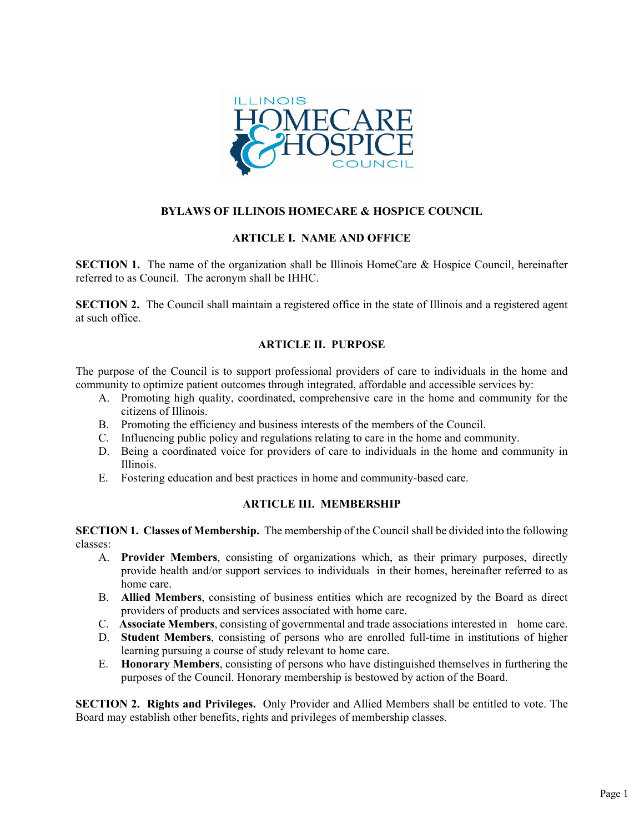

# **BYLAWS OF ILLINOIS HOMECARE & HOSPICE COUNCIL**

## **ARTICLE I. NAME AND OFFICE**

**SECTION 1.** The name of the organization shall be Illinois HomeCare & Hospice Council, hereinafter referred to as Council. The acronym shall be IHHC.

**SECTION 2.** The Council shall maintain a registered office in the state of Illinois and a registered agent at such office.

## **ARTICLE II. PURPOSE**

The purpose of the Council is to support professional providers of care to individuals in the home and community to optimize patient outcomes through integrated, affordable and accessible services by:

- A. Promoting high quality, coordinated, comprehensive care in the home and community for the citizens of Illinois.
- B. Promoting the efficiency and business interests of the members of the Council.
- C. Influencing public policy and regulations relating to care in the home and community.
- D. Being a coordinated voice for providers of care to individuals in the home and community in Illinois.
- E. Fostering education and best practices in home and community-based care.

#### **ARTICLE III. MEMBERSHIP**

**SECTION 1. Classes of Membership.** The membership of the Council shall be divided into the following classes:

- A. **Provider Members**, consisting of organizations which, as their primary purposes, directly provide health and/or support services to individuals in their homes, hereinafter referred to as home care.
- B. **Allied Members**, consisting of business entities which are recognized by the Board as direct providers of products and services associated with home care.
- C. **Associate Members**, consisting of governmental and trade associations interested in home care.
- D. **Student Members**, consisting of persons who are enrolled full-time in institutions of higher learning pursuing a course of study relevant to home care.
- E. **Honorary Members**, consisting of persons who have distinguished themselves in furthering the purposes of the Council. Honorary membership is bestowed by action of the Board.

**SECTION 2. Rights and Privileges.** Only Provider and Allied Members shall be entitled to vote. The Board may establish other benefits, rights and privileges of membership classes.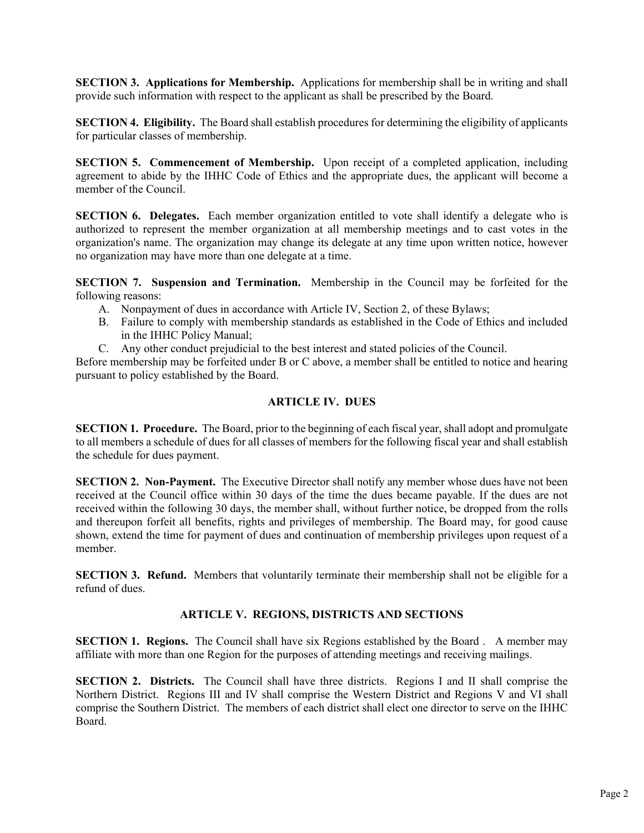**SECTION 3. Applications for Membership.** Applications for membership shall be in writing and shall provide such information with respect to the applicant as shall be prescribed by the Board.

**SECTION 4. Eligibility.** The Board shall establish procedures for determining the eligibility of applicants for particular classes of membership.

**SECTION 5. Commencement of Membership.** Upon receipt of a completed application, including agreement to abide by the IHHC Code of Ethics and the appropriate dues, the applicant will become a member of the Council.

**SECTION 6. Delegates.** Each member organization entitled to vote shall identify a delegate who is authorized to represent the member organization at all membership meetings and to cast votes in the organization's name. The organization may change its delegate at any time upon written notice, however no organization may have more than one delegate at a time.

**SECTION 7. Suspension and Termination.** Membership in the Council may be forfeited for the following reasons:

- A. Nonpayment of dues in accordance with Article IV, Section 2, of these Bylaws;
- B. Failure to comply with membership standards as established in the Code of Ethics and included in the IHHC Policy Manual;
- C. Any other conduct prejudicial to the best interest and stated policies of the Council.

Before membership may be forfeited under B or C above, a member shall be entitled to notice and hearing pursuant to policy established by the Board.

## **ARTICLE IV. DUES**

**SECTION 1. Procedure.** The Board, prior to the beginning of each fiscal year, shall adopt and promulgate to all members a schedule of dues for all classes of members for the following fiscal year and shall establish the schedule for dues payment.

**SECTION 2. Non-Payment.** The Executive Director shall notify any member whose dues have not been received at the Council office within 30 days of the time the dues became payable. If the dues are not received within the following 30 days, the member shall, without further notice, be dropped from the rolls and thereupon forfeit all benefits, rights and privileges of membership. The Board may, for good cause shown, extend the time for payment of dues and continuation of membership privileges upon request of a member.

**SECTION 3. Refund.** Members that voluntarily terminate their membership shall not be eligible for a refund of dues.

# **ARTICLE V. REGIONS, DISTRICTS AND SECTIONS**

**SECTION 1. Regions.** The Council shall have six Regions established by the Board . A member may affiliate with more than one Region for the purposes of attending meetings and receiving mailings.

**SECTION 2. Districts.** The Council shall have three districts. Regions I and II shall comprise the Northern District. Regions III and IV shall comprise the Western District and Regions V and VI shall comprise the Southern District. The members of each district shall elect one director to serve on the IHHC Board.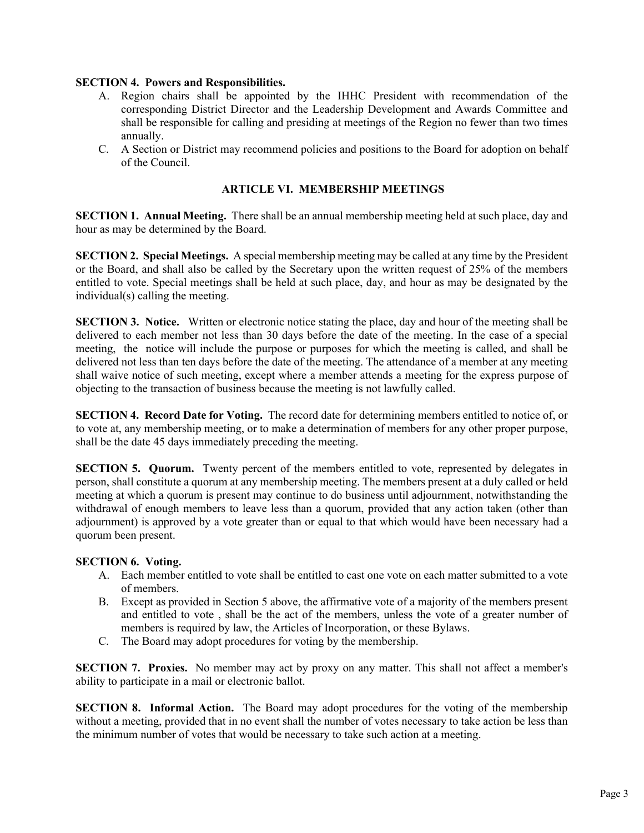#### **SECTION 4. Powers and Responsibilities.**

- A. Region chairs shall be appointed by the IHHC President with recommendation of the corresponding District Director and the Leadership Development and Awards Committee and shall be responsible for calling and presiding at meetings of the Region no fewer than two times annually.
- C. A Section or District may recommend policies and positions to the Board for adoption on behalf of the Council.

#### **ARTICLE VI. MEMBERSHIP MEETINGS**

**SECTION 1. Annual Meeting.** There shall be an annual membership meeting held at such place, day and hour as may be determined by the Board.

**SECTION 2. Special Meetings.** A special membership meeting may be called at any time by the President or the Board, and shall also be called by the Secretary upon the written request of 25% of the members entitled to vote. Special meetings shall be held at such place, day, and hour as may be designated by the individual(s) calling the meeting.

**SECTION 3. Notice.** Written or electronic notice stating the place, day and hour of the meeting shall be delivered to each member not less than 30 days before the date of the meeting. In the case of a special meeting, the notice will include the purpose or purposes for which the meeting is called, and shall be delivered not less than ten days before the date of the meeting. The attendance of a member at any meeting shall waive notice of such meeting, except where a member attends a meeting for the express purpose of objecting to the transaction of business because the meeting is not lawfully called.

**SECTION 4. Record Date for Voting.** The record date for determining members entitled to notice of, or to vote at, any membership meeting, or to make a determination of members for any other proper purpose, shall be the date 45 days immediately preceding the meeting.

**SECTION 5. Quorum.** Twenty percent of the members entitled to vote, represented by delegates in person, shall constitute a quorum at any membership meeting. The members present at a duly called or held meeting at which a quorum is present may continue to do business until adjournment, notwithstanding the withdrawal of enough members to leave less than a quorum, provided that any action taken (other than adjournment) is approved by a vote greater than or equal to that which would have been necessary had a quorum been present.

#### **SECTION 6. Voting.**

- A. Each member entitled to vote shall be entitled to cast one vote on each matter submitted to a vote of members.
- B. Except as provided in Section 5 above, the affirmative vote of a majority of the members present and entitled to vote , shall be the act of the members, unless the vote of a greater number of members is required by law, the Articles of Incorporation, or these Bylaws.
- C. The Board may adopt procedures for voting by the membership.

**SECTION 7. Proxies.** No member may act by proxy on any matter. This shall not affect a member's ability to participate in a mail or electronic ballot.

**SECTION 8. Informal Action.** The Board may adopt procedures for the voting of the membership without a meeting, provided that in no event shall the number of votes necessary to take action be less than the minimum number of votes that would be necessary to take such action at a meeting.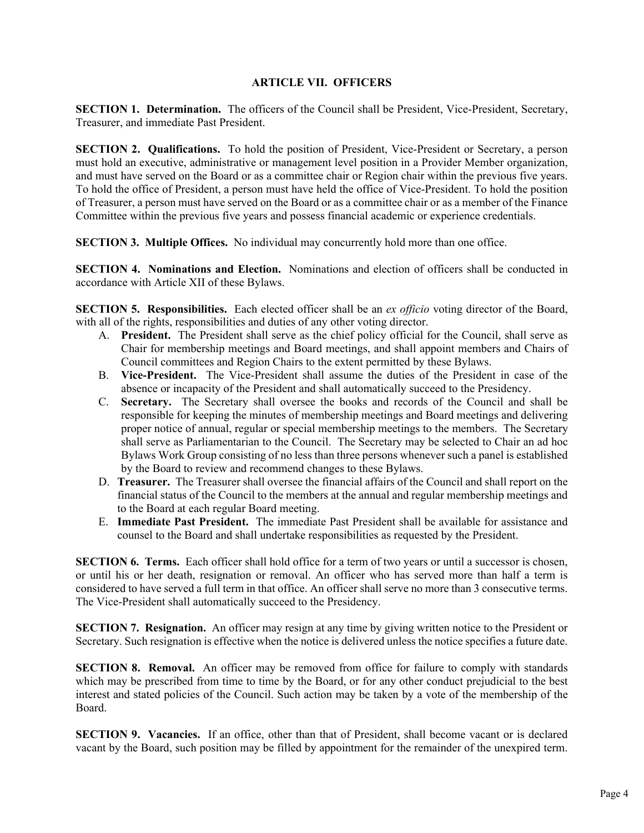#### **ARTICLE VII. OFFICERS**

**SECTION 1. Determination.** The officers of the Council shall be President, Vice-President, Secretary, Treasurer, and immediate Past President.

**SECTION 2. Qualifications.** To hold the position of President, Vice-President or Secretary, a person must hold an executive, administrative or management level position in a Provider Member organization, and must have served on the Board or as a committee chair or Region chair within the previous five years. To hold the office of President, a person must have held the office of Vice-President. To hold the position of Treasurer, a person must have served on the Board or as a committee chair or as a member of the Finance Committee within the previous five years and possess financial academic or experience credentials.

**SECTION 3. Multiple Offices.** No individual may concurrently hold more than one office.

**SECTION 4. Nominations and Election.** Nominations and election of officers shall be conducted in accordance with Article XII of these Bylaws.

**SECTION 5. Responsibilities.** Each elected officer shall be an *ex officio* voting director of the Board, with all of the rights, responsibilities and duties of any other voting director.

- A. **President.** The President shall serve as the chief policy official for the Council, shall serve as Chair for membership meetings and Board meetings, and shall appoint members and Chairs of Council committees and Region Chairs to the extent permitted by these Bylaws.
- B. **Vice-President.** The Vice-President shall assume the duties of the President in case of the absence or incapacity of the President and shall automatically succeed to the Presidency.
- C. **Secretary.** The Secretary shall oversee the books and records of the Council and shall be responsible for keeping the minutes of membership meetings and Board meetings and delivering proper notice of annual, regular or special membership meetings to the members. The Secretary shall serve as Parliamentarian to the Council. The Secretary may be selected to Chair an ad hoc Bylaws Work Group consisting of no less than three persons whenever such a panel is established by the Board to review and recommend changes to these Bylaws.
- D. **Treasurer.** The Treasurer shall oversee the financial affairs of the Council and shall report on the financial status of the Council to the members at the annual and regular membership meetings and to the Board at each regular Board meeting.
- E. **Immediate Past President.** The immediate Past President shall be available for assistance and counsel to the Board and shall undertake responsibilities as requested by the President.

**SECTION 6. Terms.** Each officer shall hold office for a term of two years or until a successor is chosen, or until his or her death, resignation or removal. An officer who has served more than half a term is considered to have served a full term in that office. An officer shall serve no more than 3 consecutive terms. The Vice-President shall automatically succeed to the Presidency.

**SECTION 7. Resignation.** An officer may resign at any time by giving written notice to the President or Secretary. Such resignation is effective when the notice is delivered unless the notice specifies a future date.

**SECTION 8. Removal.** An officer may be removed from office for failure to comply with standards which may be prescribed from time to time by the Board, or for any other conduct prejudicial to the best interest and stated policies of the Council. Such action may be taken by a vote of the membership of the Board.

**SECTION 9. Vacancies.** If an office, other than that of President, shall become vacant or is declared vacant by the Board, such position may be filled by appointment for the remainder of the unexpired term.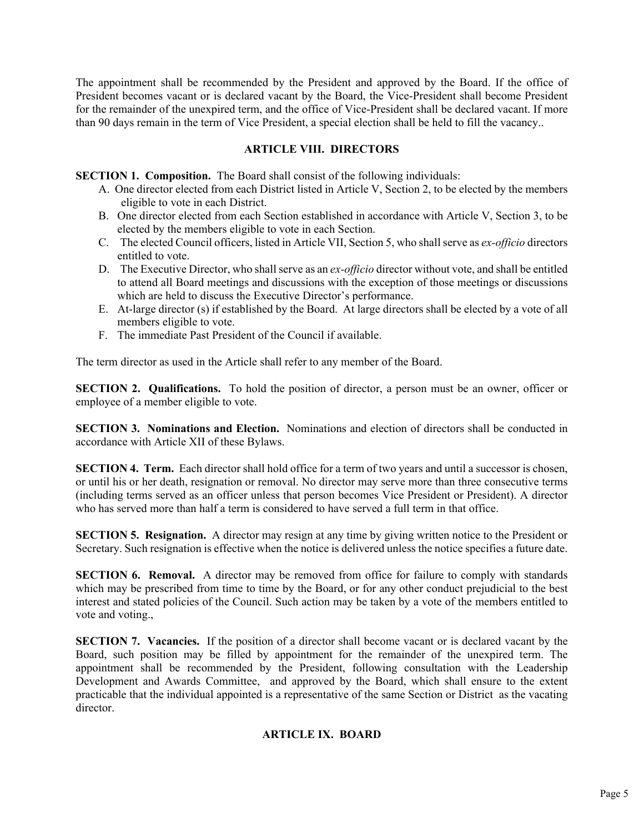The appointment shall be recommended by the President and approved by the Board. If the office of President becomes vacant or is declared vacant by the Board, the Vice-President shall become President for the remainder of the unexpired term, and the office of Vice-President shall be declared vacant. If more than 90 days remain in the term of Vice President, a special election shall be held to fill the vacancy..

## **ARTICLE VIII. DIRECTORS**

**SECTION 1. Composition.** The Board shall consist of the following individuals:

- A. One director elected from each District listed in Article V, Section 2, to be elected by the members eligible to vote in each District.
- B. One director elected from each Section established in accordance with Article V, Section 3, to be elected by the members eligible to vote in each Section.
- C. The elected Council officers, listed in Article VII, Section 5, who shall serve as *ex-officio* directors entitled to vote.
- D. The Executive Director, who shall serve as an *ex-officio* director without vote, and shall be entitled to attend all Board meetings and discussions with the exception of those meetings or discussions which are held to discuss the Executive Director's performance.
- E. At-large director (s) if established by the Board. At large directors shall be elected by a vote of all members eligible to vote.
- F. The immediate Past President of the Council if available.

The term director as used in the Article shall refer to any member of the Board.

**SECTION 2. Qualifications.** To hold the position of director, a person must be an owner, officer or employee of a member eligible to vote.

**SECTION 3. Nominations and Election.** Nominations and election of directors shall be conducted in accordance with Article XII of these Bylaws.

**SECTION 4. Term.** Each director shall hold office for a term of two years and until a successor is chosen, or until his or her death, resignation or removal. No director may serve more than three consecutive terms (including terms served as an officer unless that person becomes Vice President or President). A director who has served more than half a term is considered to have served a full term in that office.

**SECTION 5. Resignation.** A director may resign at any time by giving written notice to the President or Secretary. Such resignation is effective when the notice is delivered unless the notice specifies a future date.

**SECTION 6. Removal.** A director may be removed from office for failure to comply with standards which may be prescribed from time to time by the Board, or for any other conduct prejudicial to the best interest and stated policies of the Council. Such action may be taken by a vote of the members entitled to vote and voting.,

**SECTION 7. Vacancies.** If the position of a director shall become vacant or is declared vacant by the Board, such position may be filled by appointment for the remainder of the unexpired term. The appointment shall be recommended by the President, following consultation with the Leadership Development and Awards Committee, and approved by the Board, which shall ensure to the extent practicable that the individual appointed is a representative of the same Section or District as the vacating director.

#### **ARTICLE IX. BOARD**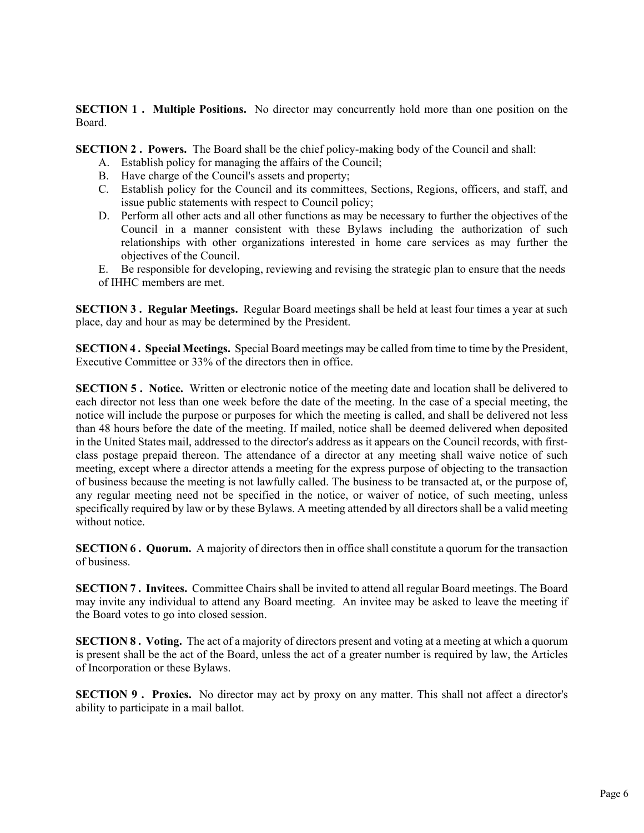**SECTION 1. Multiple Positions.** No director may concurrently hold more than one position on the Board.

**SECTION 2 . Powers.** The Board shall be the chief policy-making body of the Council and shall:

- A. Establish policy for managing the affairs of the Council;
- B. Have charge of the Council's assets and property;
- C. Establish policy for the Council and its committees, Sections, Regions, officers, and staff, and issue public statements with respect to Council policy;
- D. Perform all other acts and all other functions as may be necessary to further the objectives of the Council in a manner consistent with these Bylaws including the authorization of such relationships with other organizations interested in home care services as may further the objectives of the Council.
- E. Be responsible for developing, reviewing and revising the strategic plan to ensure that the needs of IHHC members are met.

**SECTION 3 . Regular Meetings.** Regular Board meetings shall be held at least four times a year at such place, day and hour as may be determined by the President.

**SECTION 4 . Special Meetings.** Special Board meetings may be called from time to time by the President, Executive Committee or 33% of the directors then in office.

**SECTION 5 . Notice.** Written or electronic notice of the meeting date and location shall be delivered to each director not less than one week before the date of the meeting. In the case of a special meeting, the notice will include the purpose or purposes for which the meeting is called, and shall be delivered not less than 48 hours before the date of the meeting. If mailed, notice shall be deemed delivered when deposited in the United States mail, addressed to the director's address as it appears on the Council records, with firstclass postage prepaid thereon. The attendance of a director at any meeting shall waive notice of such meeting, except where a director attends a meeting for the express purpose of objecting to the transaction of business because the meeting is not lawfully called. The business to be transacted at, or the purpose of, any regular meeting need not be specified in the notice, or waiver of notice, of such meeting, unless specifically required by law or by these Bylaws. A meeting attended by all directors shall be a valid meeting without notice.

**SECTION 6. Quorum.** A majority of directors then in office shall constitute a quorum for the transaction of business.

**SECTION 7 . Invitees.** Committee Chairs shall be invited to attend all regular Board meetings. The Board may invite any individual to attend any Board meeting. An invitee may be asked to leave the meeting if the Board votes to go into closed session.

**SECTION 8 . Voting.** The act of a majority of directors present and voting at a meeting at which a quorum is present shall be the act of the Board, unless the act of a greater number is required by law, the Articles of Incorporation or these Bylaws.

**SECTION 9 . Proxies.** No director may act by proxy on any matter. This shall not affect a director's ability to participate in a mail ballot.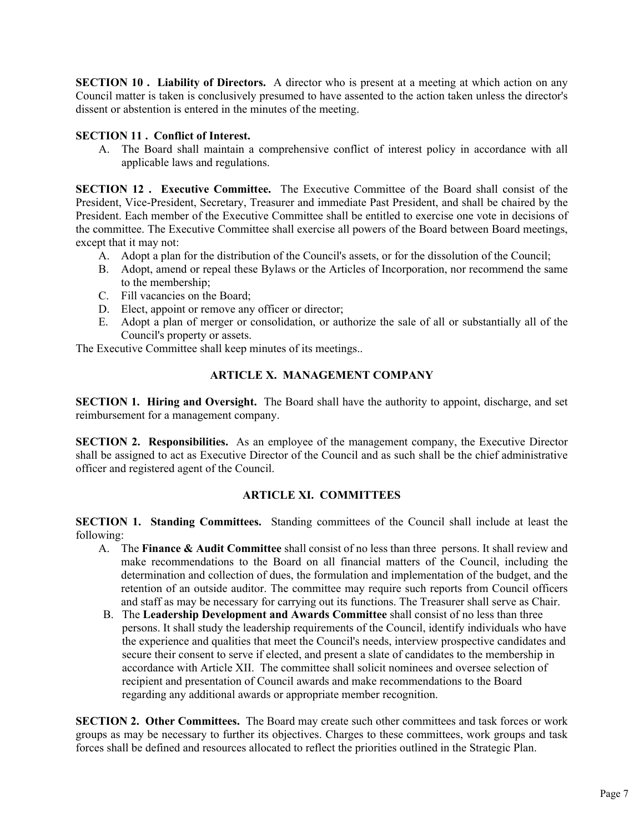**SECTION 10. Liability of Directors.** A director who is present at a meeting at which action on any Council matter is taken is conclusively presumed to have assented to the action taken unless the director's dissent or abstention is entered in the minutes of the meeting.

## **SECTION 11 . Conflict of Interest.**

A. The Board shall maintain a comprehensive conflict of interest policy in accordance with all applicable laws and regulations.

**SECTION 12 . Executive Committee.** The Executive Committee of the Board shall consist of the President, Vice-President, Secretary, Treasurer and immediate Past President, and shall be chaired by the President. Each member of the Executive Committee shall be entitled to exercise one vote in decisions of the committee. The Executive Committee shall exercise all powers of the Board between Board meetings, except that it may not:

- A. Adopt a plan for the distribution of the Council's assets, or for the dissolution of the Council;
- B. Adopt, amend or repeal these Bylaws or the Articles of Incorporation, nor recommend the same to the membership;
- C. Fill vacancies on the Board;
- D. Elect, appoint or remove any officer or director;
- E. Adopt a plan of merger or consolidation, or authorize the sale of all or substantially all of the Council's property or assets.

The Executive Committee shall keep minutes of its meetings..

# **ARTICLE X. MANAGEMENT COMPANY**

**SECTION 1. Hiring and Oversight.** The Board shall have the authority to appoint, discharge, and set reimbursement for a management company.

**SECTION 2. Responsibilities.** As an employee of the management company, the Executive Director shall be assigned to act as Executive Director of the Council and as such shall be the chief administrative officer and registered agent of the Council.

# **ARTICLE XI. COMMITTEES**

**SECTION 1. Standing Committees.** Standing committees of the Council shall include at least the following:

- A. The **Finance & Audit Committee** shall consist of no less than three persons. It shall review and make recommendations to the Board on all financial matters of the Council, including the determination and collection of dues, the formulation and implementation of the budget, and the retention of an outside auditor. The committee may require such reports from Council officers and staff as may be necessary for carrying out its functions. The Treasurer shall serve as Chair.
- B. The **Leadership Development and Awards Committee** shall consist of no less than three persons. It shall study the leadership requirements of the Council, identify individuals who have the experience and qualities that meet the Council's needs, interview prospective candidates and secure their consent to serve if elected, and present a slate of candidates to the membership in accordance with Article XII. The committee shall solicit nominees and oversee selection of recipient and presentation of Council awards and make recommendations to the Board regarding any additional awards or appropriate member recognition.

**SECTION 2. Other Committees.** The Board may create such other committees and task forces or work groups as may be necessary to further its objectives. Charges to these committees, work groups and task forces shall be defined and resources allocated to reflect the priorities outlined in the Strategic Plan.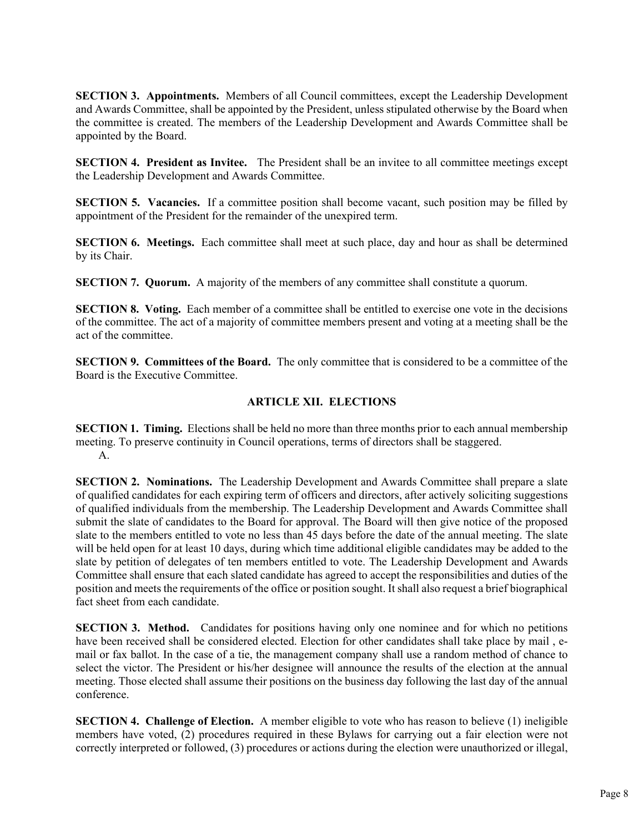**SECTION 3. Appointments.** Members of all Council committees, except the Leadership Development and Awards Committee, shall be appointed by the President, unless stipulated otherwise by the Board when the committee is created. The members of the Leadership Development and Awards Committee shall be appointed by the Board.

**SECTION 4. President as Invitee.** The President shall be an invitee to all committee meetings except the Leadership Development and Awards Committee.

**SECTION 5. Vacancies.** If a committee position shall become vacant, such position may be filled by appointment of the President for the remainder of the unexpired term.

**SECTION 6. Meetings.** Each committee shall meet at such place, day and hour as shall be determined by its Chair.

**SECTION 7. Quorum.** A majority of the members of any committee shall constitute a quorum.

**SECTION 8. Voting.** Each member of a committee shall be entitled to exercise one vote in the decisions of the committee. The act of a majority of committee members present and voting at a meeting shall be the act of the committee.

**SECTION 9. Committees of the Board.** The only committee that is considered to be a committee of the Board is the Executive Committee.

## **ARTICLE XII. ELECTIONS**

**SECTION 1. Timing.** Elections shall be held no more than three months prior to each annual membership meeting. To preserve continuity in Council operations, terms of directors shall be staggered. A.

**SECTION 2. Nominations.** The Leadership Development and Awards Committee shall prepare a slate of qualified candidates for each expiring term of officers and directors, after actively soliciting suggestions of qualified individuals from the membership. The Leadership Development and Awards Committee shall submit the slate of candidates to the Board for approval. The Board will then give notice of the proposed slate to the members entitled to vote no less than 45 days before the date of the annual meeting. The slate will be held open for at least 10 days, during which time additional eligible candidates may be added to the slate by petition of delegates of ten members entitled to vote. The Leadership Development and Awards Committee shall ensure that each slated candidate has agreed to accept the responsibilities and duties of the position and meets the requirements of the office or position sought. It shall also request a brief biographical fact sheet from each candidate.

**SECTION 3. Method.** Candidates for positions having only one nominee and for which no petitions have been received shall be considered elected. Election for other candidates shall take place by mail , email or fax ballot. In the case of a tie, the management company shall use a random method of chance to select the victor. The President or his/her designee will announce the results of the election at the annual meeting. Those elected shall assume their positions on the business day following the last day of the annual conference.

**SECTION 4. Challenge of Election.** A member eligible to vote who has reason to believe (1) ineligible members have voted, (2) procedures required in these Bylaws for carrying out a fair election were not correctly interpreted or followed, (3) procedures or actions during the election were unauthorized or illegal,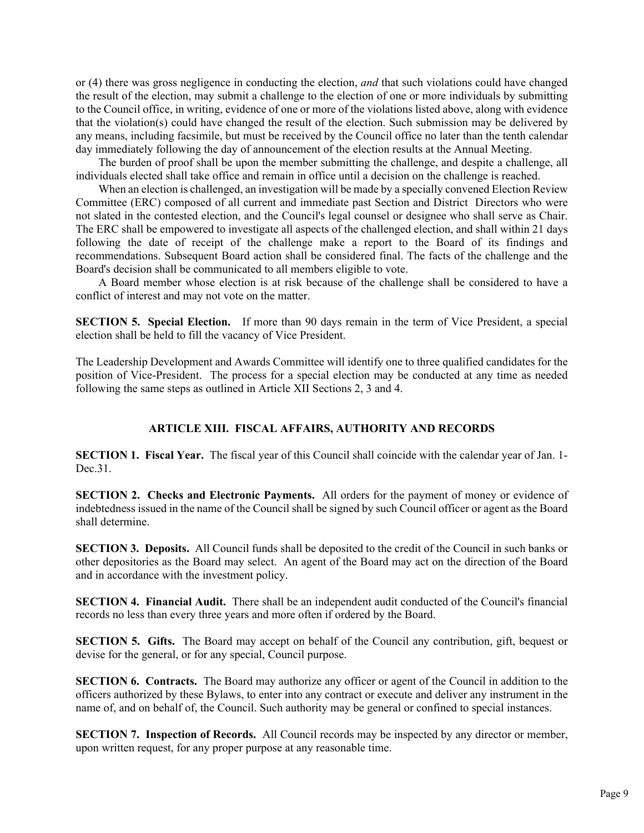or (4) there was gross negligence in conducting the election, *and* that such violations could have changed the result of the election, may submit a challenge to the election of one or more individuals by submitting to the Council office, in writing, evidence of one or more of the violations listed above, along with evidence that the violation(s) could have changed the result of the election. Such submission may be delivered by any means, including facsimile, but must be received by the Council office no later than the tenth calendar day immediately following the day of announcement of the election results at the Annual Meeting.

The burden of proof shall be upon the member submitting the challenge, and despite a challenge, all individuals elected shall take office and remain in office until a decision on the challenge is reached.

When an election is challenged, an investigation will be made by a specially convened Election Review Committee (ERC) composed of all current and immediate past Section and District Directors who were not slated in the contested election, and the Council's legal counsel or designee who shall serve as Chair. The ERC shall be empowered to investigate all aspects of the challenged election, and shall within 21 days following the date of receipt of the challenge make a report to the Board of its findings and recommendations. Subsequent Board action shall be considered final. The facts of the challenge and the Board's decision shall be communicated to all members eligible to vote.

A Board member whose election is at risk because of the challenge shall be considered to have a conflict of interest and may not vote on the matter.

**SECTION 5. Special Election.** If more than 90 days remain in the term of Vice President, a special election shall be held to fill the vacancy of Vice President.

The Leadership Development and Awards Committee will identify one to three qualified candidates for the position of Vice-President. The process for a special election may be conducted at any time as needed following the same steps as outlined in Article XII Sections 2, 3 and 4.

#### **ARTICLE XIII. FISCAL AFFAIRS, AUTHORITY AND RECORDS**

**SECTION 1. Fiscal Year.** The fiscal year of this Council shall coincide with the calendar year of Jan. 1- Dec.31.

**SECTION 2. Checks and Electronic Payments.** All orders for the payment of money or evidence of indebtedness issued in the name of the Council shall be signed by such Council officer or agent as the Board shall determine.

**SECTION 3. Deposits.** All Council funds shall be deposited to the credit of the Council in such banks or other depositories as the Board may select. An agent of the Board may act on the direction of the Board and in accordance with the investment policy.

**SECTION 4. Financial Audit.** There shall be an independent audit conducted of the Council's financial records no less than every three years and more often if ordered by the Board.

**SECTION 5. Gifts.** The Board may accept on behalf of the Council any contribution, gift, bequest or devise for the general, or for any special, Council purpose.

**SECTION 6. Contracts.** The Board may authorize any officer or agent of the Council in addition to the officers authorized by these Bylaws, to enter into any contract or execute and deliver any instrument in the name of, and on behalf of, the Council. Such authority may be general or confined to special instances.

**SECTION 7. Inspection of Records.** All Council records may be inspected by any director or member, upon written request, for any proper purpose at any reasonable time.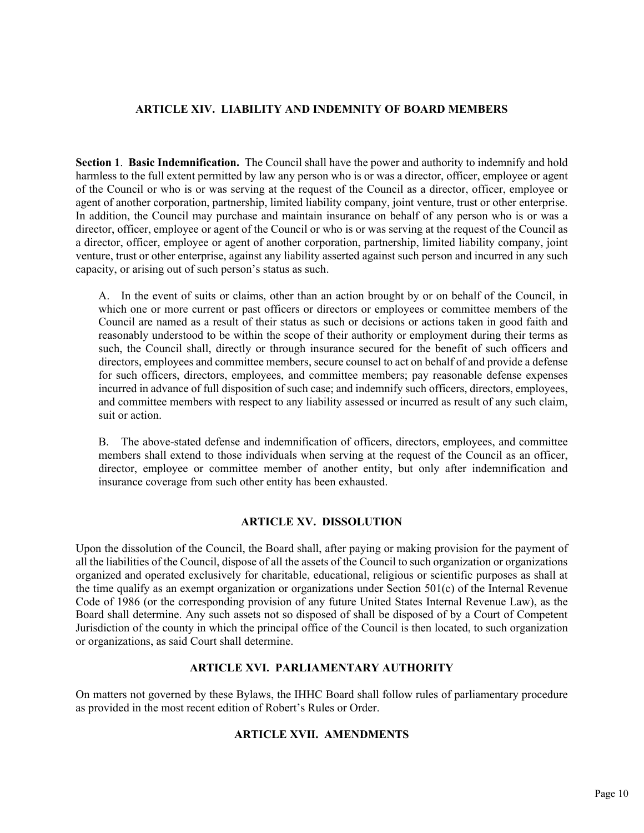#### **ARTICLE XIV. LIABILITY AND INDEMNITY OF BOARD MEMBERS**

**Section 1**. **Basic Indemnification.** The Council shall have the power and authority to indemnify and hold harmless to the full extent permitted by law any person who is or was a director, officer, employee or agent of the Council or who is or was serving at the request of the Council as a director, officer, employee or agent of another corporation, partnership, limited liability company, joint venture, trust or other enterprise. In addition, the Council may purchase and maintain insurance on behalf of any person who is or was a director, officer, employee or agent of the Council or who is or was serving at the request of the Council as a director, officer, employee or agent of another corporation, partnership, limited liability company, joint venture, trust or other enterprise, against any liability asserted against such person and incurred in any such capacity, or arising out of such person's status as such.

 A. In the event of suits or claims, other than an action brought by or on behalf of the Council, in which one or more current or past officers or directors or employees or committee members of the Council are named as a result of their status as such or decisions or actions taken in good faith and reasonably understood to be within the scope of their authority or employment during their terms as such, the Council shall, directly or through insurance secured for the benefit of such officers and directors, employees and committee members, secure counsel to act on behalf of and provide a defense for such officers, directors, employees, and committee members; pay reasonable defense expenses incurred in advance of full disposition of such case; and indemnify such officers, directors, employees, and committee members with respect to any liability assessed or incurred as result of any such claim, suit or action.

 B. The above-stated defense and indemnification of officers, directors, employees, and committee members shall extend to those individuals when serving at the request of the Council as an officer, director, employee or committee member of another entity, but only after indemnification and insurance coverage from such other entity has been exhausted.

#### **ARTICLE XV. DISSOLUTION**

Upon the dissolution of the Council, the Board shall, after paying or making provision for the payment of all the liabilities of the Council, dispose of all the assets of the Council to such organization or organizations organized and operated exclusively for charitable, educational, religious or scientific purposes as shall at the time qualify as an exempt organization or organizations under Section 501(c) of the Internal Revenue Code of 1986 (or the corresponding provision of any future United States Internal Revenue Law), as the Board shall determine. Any such assets not so disposed of shall be disposed of by a Court of Competent Jurisdiction of the county in which the principal office of the Council is then located, to such organization or organizations, as said Court shall determine.

## **ARTICLE XVI. PARLIAMENTARY AUTHORITY**

On matters not governed by these Bylaws, the IHHC Board shall follow rules of parliamentary procedure as provided in the most recent edition of Robert's Rules or Order.

#### **ARTICLE XVII. AMENDMENTS**